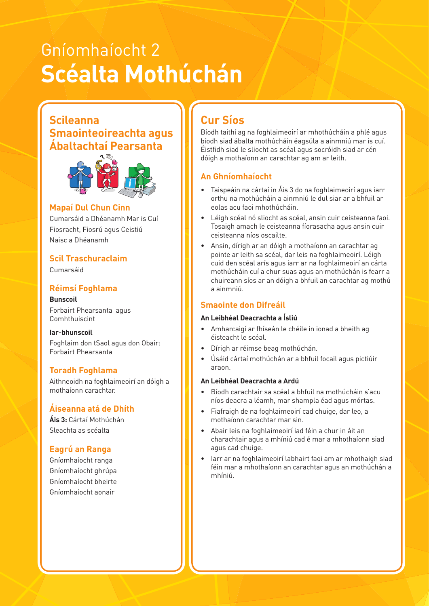# Gníomhaíocht 2 **Scéalta Mothúchán**

#### **Scileanna Smaointeoireachta agus Ábaltachtaí Pearsanta**



#### **1996 - Marco Marco Marco Marco Marco Marco Marco Marco Marco Marco Marco Marco Marco Marco Marco Marco Marco M**

Cumarsáid a Dhéanamh Mar is Cuí Fiosracht, Fiosrú agus Ceistiú Naisc a Dhéanamh

#### **Scil Traschuraclaim**

Cumarsáid

and Decision-Making

#### **Réimsí Foghlama**

**Bunscoil** Forbairt Phearsanta agus Comhthuiscint

**Iar-bhunscoil** Foghlaim don tSaol agus don Obair: Forbairt Phearsanta

#### **Toradh Foghlama**

Aithneoidh na foghlaimeoirí an dóigh a mothaíonn carachtar.

#### **Áiseanna atá de Dhíth**

**Áis 3:** Cártaí Mothúchán Sleachta as scéalta

#### **Eagrú an Ranga**

Gníomhaíocht ranga Gníomhaíocht ghrúpa Gníomhaíocht bheirte Gníomhaíocht aonair

### **Cur Síos**

Bíodh taithí ag na foghlaimeoirí ar mhothúcháin a phlé agus bíodh siad ábalta mothúcháin éagsúla a ainmniú mar is cuí. Éistfidh siad le sliocht as scéal agus socróidh siad ar cén dóigh a mothaíonn an carachtar ag am ar leith.

#### **An Ghníomhaíocht**

- Taispeáin na cártaí in Áis 3 do na foghlaimeoirí agus iarr orthu na mothúcháin a ainmniú le dul siar ar a bhfuil ar eolas acu faoi mhothúcháin.
- Léigh scéal nó sliocht as scéal, ansin cuir ceisteanna faoi. Tosaigh amach le ceisteanna fíorasacha agus ansin cuir ceisteanna níos oscailte.
- Ansin, dírigh ar an dóigh a mothaíonn an carachtar ag pointe ar leith sa scéal, dar leis na foghlaimeoirí. Léigh cuid den scéal arís agus iarr ar na foghlaimeoirí an cárta mothúcháin cuí a chur suas agus an mothúchán is fearr a chuireann síos ar an dóigh a bhfuil an carachtar ag mothú a ainmniú.

#### **Smaointe don Difreáil**

#### **An Leibhéal Deacrachta a Ísliú**

- Amharcaigí ar fhíseán le chéile in ionad a bheith ag éisteacht le scéal.
- Dírigh ar réimse beag mothúchán.
- Úsáid cártaí mothúchán ar a bhfuil focail agus pictiúir araon.

#### **An Leibhéal Deacrachta a Ardú**

- Bíodh carachtair sa scéal a bhfuil na mothúcháin s'acu níos deacra a léamh, mar shampla éad agus mórtas.
- Fiafraigh de na foghlaimeoirí cad chuige, dar leo, a mothaíonn carachtar mar sin.
- Abair leis na foghlaimeoirí iad féin a chur in áit an charachtair agus a mhíniú cad é mar a mhothaíonn siad agus cad chuige.
- Iarr ar na foghlaimeoirí labhairt faoi am ar mhothaigh siad féin mar a mhothaíonn an carachtar agus an mothúchán a mhíniú.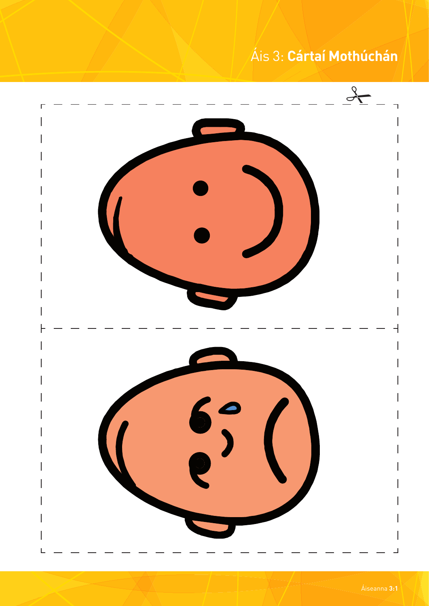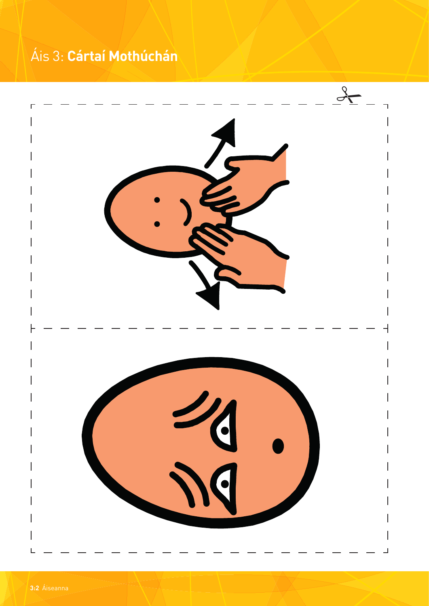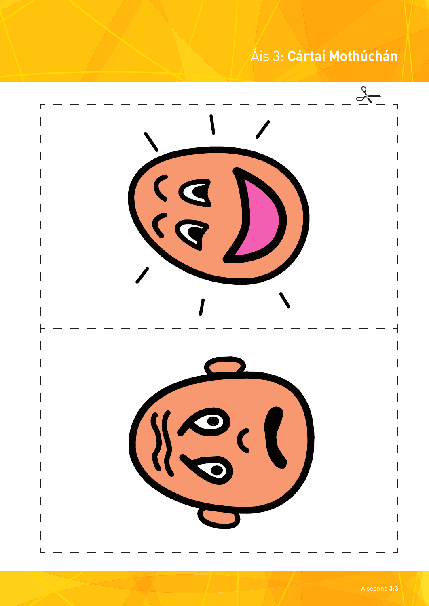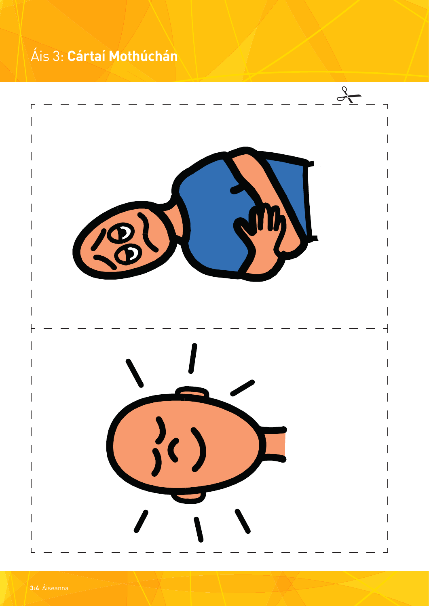

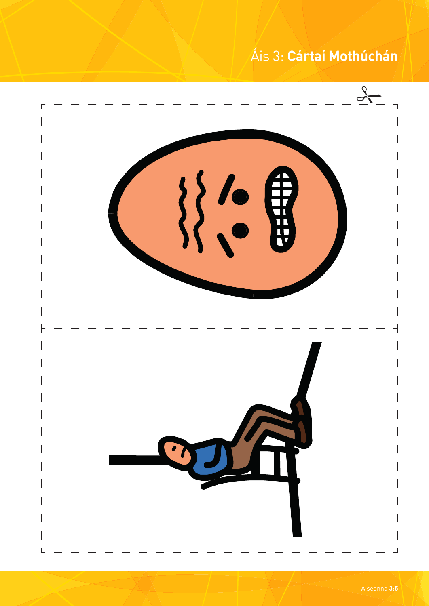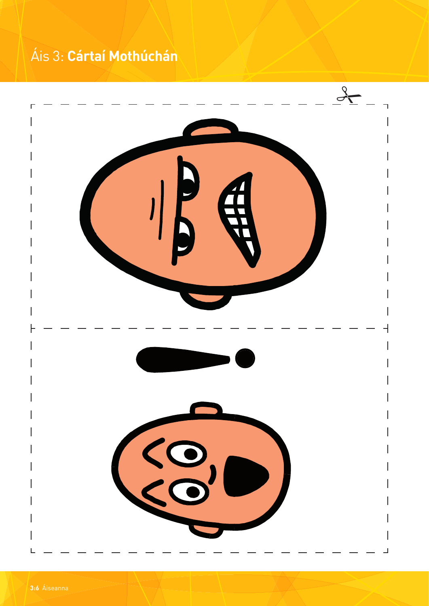